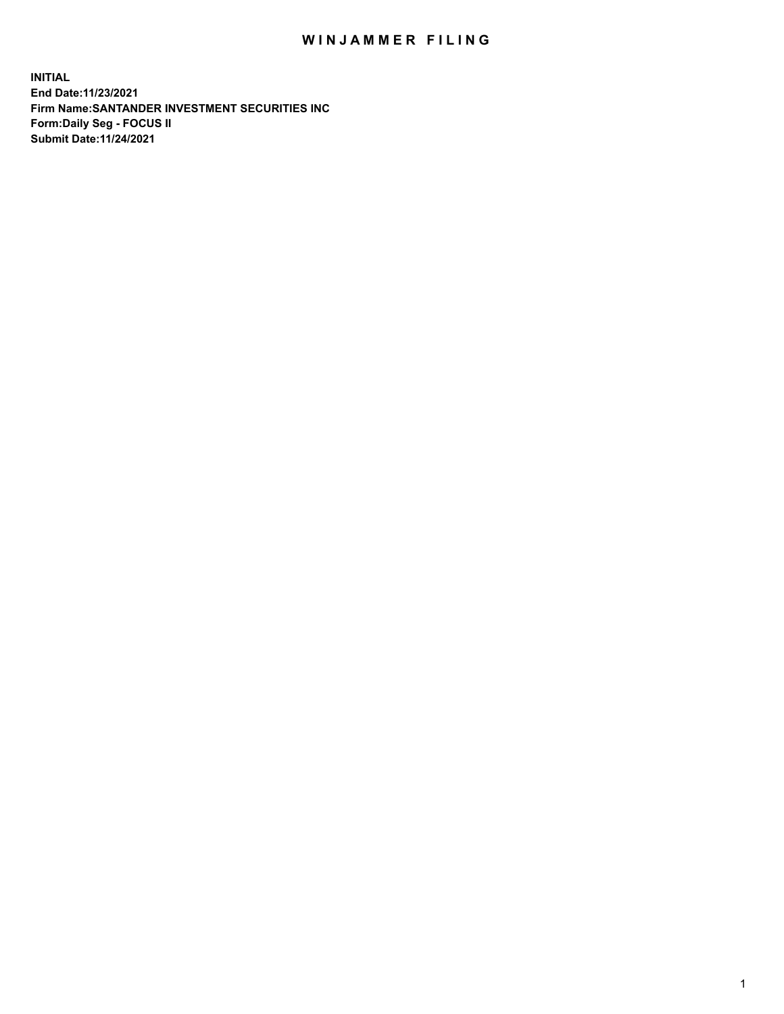## WIN JAMMER FILING

**INITIAL End Date:11/23/2021 Firm Name:SANTANDER INVESTMENT SECURITIES INC Form:Daily Seg - FOCUS II Submit Date:11/24/2021**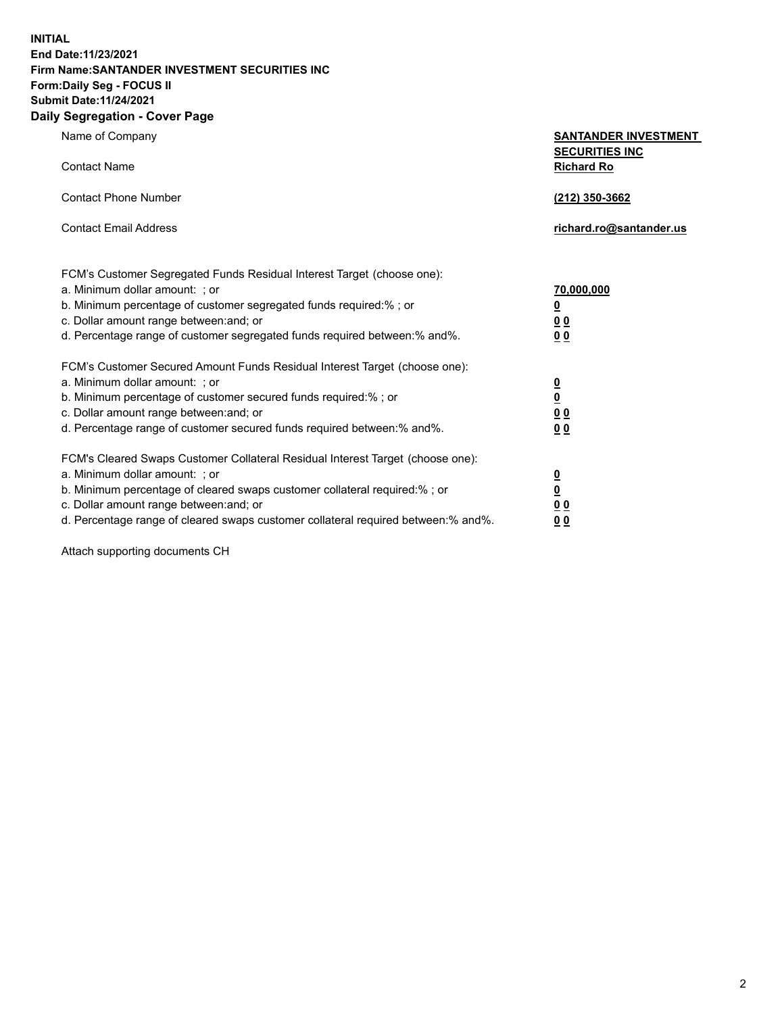**INITIAL End Date:11/23/2021 Firm Name:SANTANDER INVESTMENT SECURITIES INC Form:Daily Seg - FOCUS II Submit Date:11/24/2021 Daily Segregation - Cover Page**

Name of Company **SANTANDER INVESTMENT SECURITIES INC** Contact Name **Richard Ro** Contact Phone Number **(212) 350-3662** Contact Email Address **richard.ro@santander.us** FCM's Customer Segregated Funds Residual Interest Target (choose one): a. Minimum dollar amount: ; or **70,000,000** b. Minimum percentage of customer segregated funds required:% ; or **0** c. Dollar amount range between:and; or **0 0** d. Percentage range of customer segregated funds required between:% and%. **0 0** FCM's Customer Secured Amount Funds Residual Interest Target (choose one): a. Minimum dollar amount: ; or **0** b. Minimum percentage of customer secured funds required:% ; or **0** c. Dollar amount range between:and; or **0 0** d. Percentage range of customer secured funds required between:% and%. **0 0** FCM's Cleared Swaps Customer Collateral Residual Interest Target (choose one): a. Minimum dollar amount: ; or **0** b. Minimum percentage of cleared swaps customer collateral required:% ; or **0** c. Dollar amount range between:and; or **0 0** d. Percentage range of cleared swaps customer collateral required between:% and%. **0 0**

Attach supporting documents CH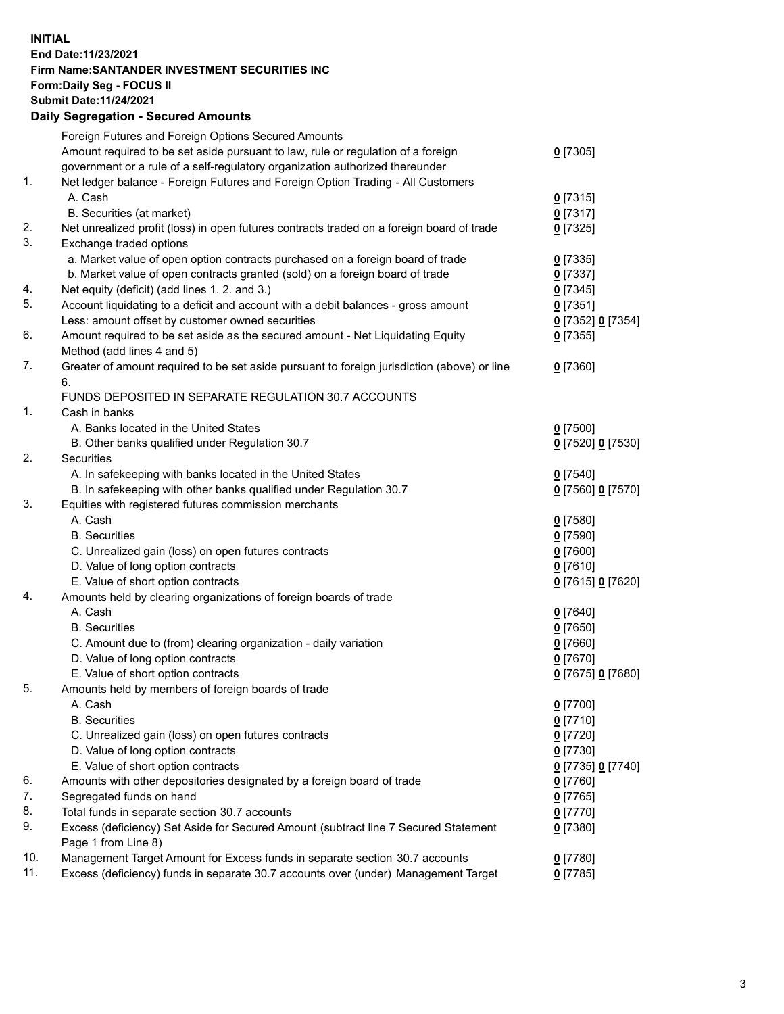## **INITIAL End Date:11/23/2021 Firm Name:SANTANDER INVESTMENT SECURITIES INC Form:Daily Seg - FOCUS II Submit Date:11/24/2021 Daily Segregation - Secured Amounts**

|     | Foreign Futures and Foreign Options Secured Amounts                                         |                   |
|-----|---------------------------------------------------------------------------------------------|-------------------|
|     | Amount required to be set aside pursuant to law, rule or regulation of a foreign            | $0$ [7305]        |
|     | government or a rule of a self-regulatory organization authorized thereunder                |                   |
| 1.  | Net ledger balance - Foreign Futures and Foreign Option Trading - All Customers             |                   |
|     | A. Cash                                                                                     | $0$ [7315]        |
|     | B. Securities (at market)                                                                   | $0$ [7317]        |
| 2.  | Net unrealized profit (loss) in open futures contracts traded on a foreign board of trade   | $0$ [7325]        |
| 3.  | Exchange traded options                                                                     |                   |
|     | a. Market value of open option contracts purchased on a foreign board of trade              | $0$ [7335]        |
|     | b. Market value of open contracts granted (sold) on a foreign board of trade                | 0 [7337]          |
| 4.  | Net equity (deficit) (add lines 1. 2. and 3.)                                               | $0$ [7345]        |
| 5.  | Account liquidating to a deficit and account with a debit balances - gross amount           | $0$ [7351]        |
|     | Less: amount offset by customer owned securities                                            | 0 [7352] 0 [7354] |
| 6.  | Amount required to be set aside as the secured amount - Net Liquidating Equity              | $0$ [7355]        |
|     | Method (add lines 4 and 5)                                                                  |                   |
| 7.  | Greater of amount required to be set aside pursuant to foreign jurisdiction (above) or line | $0$ [7360]        |
|     | 6.                                                                                          |                   |
|     | FUNDS DEPOSITED IN SEPARATE REGULATION 30.7 ACCOUNTS                                        |                   |
| 1.  | Cash in banks                                                                               |                   |
|     | A. Banks located in the United States                                                       | $0$ [7500]        |
|     | B. Other banks qualified under Regulation 30.7                                              | 0 [7520] 0 [7530] |
| 2.  | Securities                                                                                  |                   |
|     | A. In safekeeping with banks located in the United States                                   | $0$ [7540]        |
|     | B. In safekeeping with other banks qualified under Regulation 30.7                          | 0 [7560] 0 [7570] |
| 3.  | Equities with registered futures commission merchants                                       |                   |
|     | A. Cash                                                                                     | $0$ [7580]        |
|     | <b>B.</b> Securities                                                                        | <u>0</u> [7590]   |
|     | C. Unrealized gain (loss) on open futures contracts                                         | 0 [7600]          |
|     | D. Value of long option contracts                                                           | $0$ [7610]        |
|     | E. Value of short option contracts                                                          | 0 [7615] 0 [7620] |
| 4.  | Amounts held by clearing organizations of foreign boards of trade                           |                   |
|     | A. Cash                                                                                     | $0$ [7640]        |
|     | <b>B.</b> Securities                                                                        | <u>0</u> [7650]   |
|     | C. Amount due to (from) clearing organization - daily variation                             | $0$ [7660]        |
|     | D. Value of long option contracts                                                           | $0$ [7670]        |
|     | E. Value of short option contracts                                                          | 0 [7675] 0 [7680] |
| 5.  | Amounts held by members of foreign boards of trade                                          |                   |
|     | A. Cash                                                                                     | $0$ [7700]        |
|     | <b>B.</b> Securities                                                                        | $0$ [7710]        |
|     | C. Unrealized gain (loss) on open futures contracts                                         | $0$ [7720]        |
|     | D. Value of long option contracts                                                           | $0$ [7730]        |
|     | E. Value of short option contracts                                                          | 0 [7735] 0 [7740] |
| 6.  | Amounts with other depositories designated by a foreign board of trade                      | $0$ [7760]        |
| 7.  | Segregated funds on hand                                                                    | $0$ [7765]        |
| 8.  | Total funds in separate section 30.7 accounts                                               | $0$ [7770]        |
| 9.  | Excess (deficiency) Set Aside for Secured Amount (subtract line 7 Secured Statement         | 0 [7380]          |
|     | Page 1 from Line 8)                                                                         |                   |
| 10. | Management Target Amount for Excess funds in separate section 30.7 accounts                 | $0$ [7780]        |
| 11. | Excess (deficiency) funds in separate 30.7 accounts over (under) Management Target          | $0$ [7785]        |
|     |                                                                                             |                   |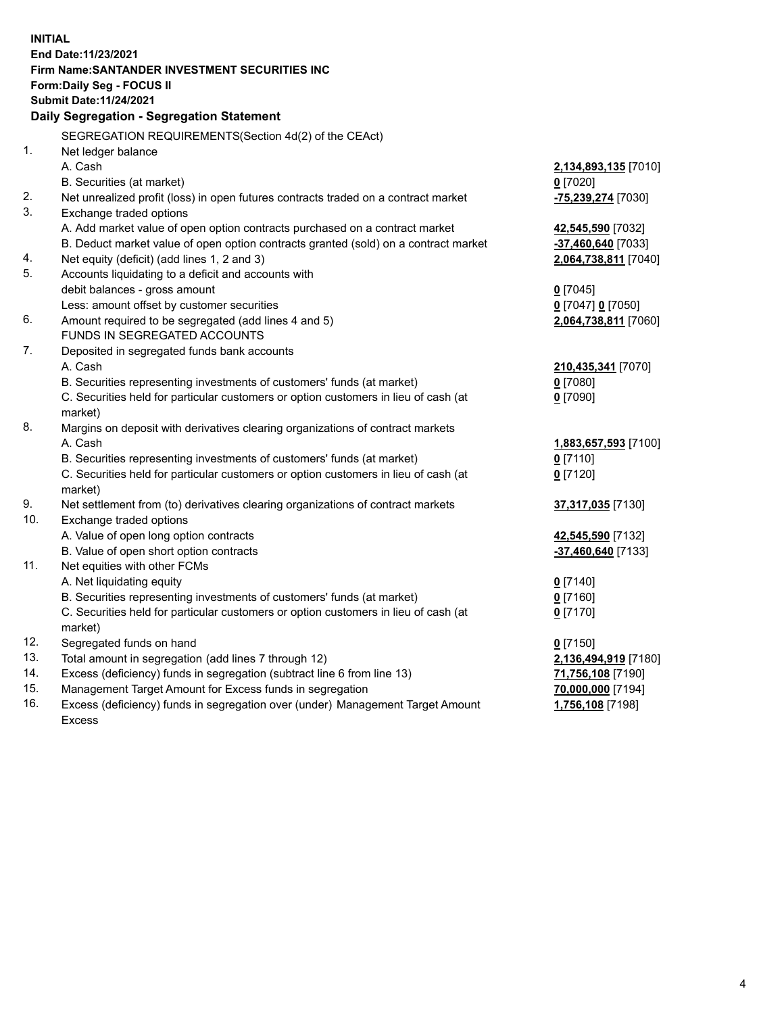| <b>INITIAL</b> |                                                                                                                                     |                      |
|----------------|-------------------------------------------------------------------------------------------------------------------------------------|----------------------|
|                | End Date: 11/23/2021                                                                                                                |                      |
|                | Firm Name: SANTANDER INVESTMENT SECURITIES INC                                                                                      |                      |
|                | Form: Daily Seg - FOCUS II                                                                                                          |                      |
|                | Submit Date: 11/24/2021                                                                                                             |                      |
|                | Daily Segregation - Segregation Statement                                                                                           |                      |
|                | SEGREGATION REQUIREMENTS(Section 4d(2) of the CEAct)                                                                                |                      |
| 1.             | Net ledger balance                                                                                                                  |                      |
|                | A. Cash                                                                                                                             | 2,134,893,135 [7010] |
|                | B. Securities (at market)                                                                                                           | $0$ [7020]           |
| 2.             | Net unrealized profit (loss) in open futures contracts traded on a contract market                                                  | -75,239,274 [7030]   |
| 3.             | Exchange traded options                                                                                                             |                      |
|                | A. Add market value of open option contracts purchased on a contract market                                                         | 42,545,590 [7032]    |
|                | B. Deduct market value of open option contracts granted (sold) on a contract market                                                 | -37,460,640 [7033]   |
| 4.             | Net equity (deficit) (add lines 1, 2 and 3)                                                                                         | 2,064,738,811 [7040] |
| 5.             | Accounts liquidating to a deficit and accounts with                                                                                 |                      |
|                | debit balances - gross amount                                                                                                       | $0$ [7045]           |
|                | Less: amount offset by customer securities                                                                                          | 0 [7047] 0 [7050]    |
| 6.             | Amount required to be segregated (add lines 4 and 5)                                                                                | 2,064,738,811 [7060] |
|                | FUNDS IN SEGREGATED ACCOUNTS                                                                                                        |                      |
| 7.             | Deposited in segregated funds bank accounts                                                                                         |                      |
|                | A. Cash                                                                                                                             | 210,435,341 [7070]   |
|                | B. Securities representing investments of customers' funds (at market)                                                              | $0$ [7080]           |
|                | C. Securities held for particular customers or option customers in lieu of cash (at                                                 | $0$ [7090]           |
|                | market)                                                                                                                             |                      |
| 8.             | Margins on deposit with derivatives clearing organizations of contract markets                                                      |                      |
|                | A. Cash                                                                                                                             | 1,883,657,593 [7100] |
|                | B. Securities representing investments of customers' funds (at market)                                                              | $0$ [7110]           |
|                | C. Securities held for particular customers or option customers in lieu of cash (at                                                 | $0$ [7120]           |
|                | market)                                                                                                                             |                      |
| 9.             | Net settlement from (to) derivatives clearing organizations of contract markets                                                     | 37,317,035 [7130]    |
| 10.            | Exchange traded options                                                                                                             |                      |
|                | A. Value of open long option contracts                                                                                              | 42,545,590 [7132]    |
|                | B. Value of open short option contracts                                                                                             | -37,460,640 [7133]   |
| 11.            | Net equities with other FCMs                                                                                                        |                      |
|                | A. Net liquidating equity                                                                                                           | $0$ [7140]           |
|                | B. Securities representing investments of customers' funds (at market)                                                              | $0$ [7160]           |
|                | C. Securities held for particular customers or option customers in lieu of cash (at                                                 | $0$ [7170]           |
| 12.            | market)                                                                                                                             |                      |
| 13.            | Segregated funds on hand                                                                                                            | $0$ [7150]           |
| 14.            | Total amount in segregation (add lines 7 through 12)                                                                                | 2,136,494,919 [7180] |
| 15.            | Excess (deficiency) funds in segregation (subtract line 6 from line 13)<br>Management Target Amount for Excess funds in segregation | 71,756,108 [7190]    |
| 16.            |                                                                                                                                     | 70,000,000 [7194]    |
|                | Excess (deficiency) funds in segregation over (under) Management Target Amount                                                      | 1,756,108 [7198]     |
|                | Excess                                                                                                                              |                      |